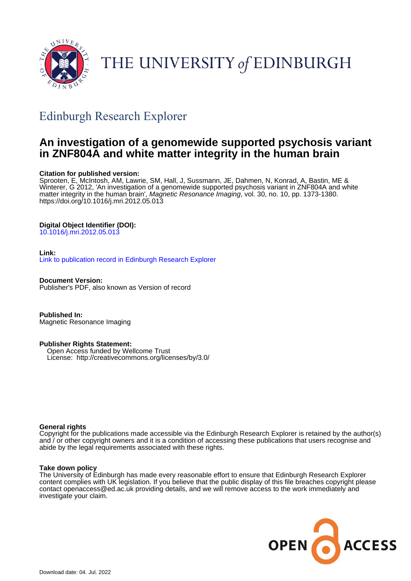

# THE UNIVERSITY of EDINBURGH

## Edinburgh Research Explorer

### **An investigation of a genomewide supported psychosis variant in ZNF804A and white matter integrity in the human brain**

#### **Citation for published version:**

Sprooten, E, McIntosh, AM, Lawrie, SM, Hall, J, Sussmann, JE, Dahmen, N, Konrad, A, Bastin, ME & Winterer, G 2012, 'An investigation of a genomewide supported psychosis variant in ZNF804A and white matter integrity in the human brain', *Magnetic Resonance Imaging*, vol. 30, no. 10, pp. 1373-1380. <https://doi.org/10.1016/j.mri.2012.05.013>

#### **Digital Object Identifier (DOI):**

[10.1016/j.mri.2012.05.013](https://doi.org/10.1016/j.mri.2012.05.013)

#### **Link:**

[Link to publication record in Edinburgh Research Explorer](https://www.research.ed.ac.uk/en/publications/af73d8dc-89d7-4987-89f8-2d06fdbf2c78)

**Document Version:** Publisher's PDF, also known as Version of record

**Published In:** Magnetic Resonance Imaging

#### **Publisher Rights Statement:**

 Open Access funded by Wellcome Trust License: http://creativecommons.org/licenses/by/3.0/

#### **General rights**

Copyright for the publications made accessible via the Edinburgh Research Explorer is retained by the author(s) and / or other copyright owners and it is a condition of accessing these publications that users recognise and abide by the legal requirements associated with these rights.

#### **Take down policy**

The University of Edinburgh has made every reasonable effort to ensure that Edinburgh Research Explorer content complies with UK legislation. If you believe that the public display of this file breaches copyright please contact openaccess@ed.ac.uk providing details, and we will remove access to the work immediately and investigate your claim.

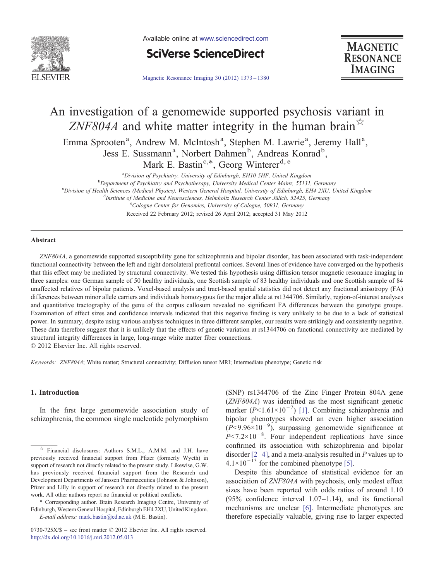

Available online at [www.sciencedirect.com](http://www.sciencedirect.com/science/journal/0730725X)



[Magnetic Resonance Imaging 30 \(2012\) 1373](http://dx.doi.org/10.1016/j.mri.2012.05.013)–1380



## An investigation of a genomewide supported psychosis variant in ZNF804A and white matter integrity in the human brain $\mathbb{R}^{\mathbb{Z}}$

Emma Sprooten<sup>a</sup>, Andrew M. McIntosh<sup>a</sup>, Stephen M. Lawrie<sup>a</sup>, Jeremy Hall<sup>a</sup>, Jess E. Sussmann<sup>a</sup>, Norbert Dahmen<sup>b</sup>, Andreas Konrad<sup>b</sup>,

Mark E. Bastin<sup>c,\*</sup>, Georg Winterer<sup>d, e</sup>

<sup>a</sup>Division of Psychiatry, University of Edinburgh, EH10 5HF, United Kingdom <sup>a</sup>Division of Psychiatry, University of Edinburgh, EH10 5HF, United Kingdom<br><sup>b</sup>Department of Psychiatry and Psychotherapy, University Medical Center Mainz, 55131

Department of Psychiatry and Psychotherapy, University Medical Center Mainz, 55131, Germany"<br>Chivision of Health Sciences (Medical Physics), Western General Hospital, University of Edinburgh, FH4 2XU, I

<sup>c</sup>Division of Health Sciences (Medical Physics), Western General Hospital, University of Edinburgh, EH4 2XU, United Kingdom

<sup>d</sup>Institute of Medicine and Neurosciences, Helmholtz Research Center Jülich, 52425, Germany

eCologne Center for Genomics, University of Cologne, 50931, Germany

Received 22 February 2012; revised 26 April 2012; accepted 31 May 2012

#### Abstract

ZNF804A, a genomewide supported susceptibility gene for schizophrenia and bipolar disorder, has been associated with task-independent functional connectivity between the left and right dorsolateral prefrontal cortices. Several lines of evidence have converged on the hypothesis that this effect may be mediated by structural connectivity. We tested this hypothesis using diffusion tensor magnetic resonance imaging in three samples: one German sample of 50 healthy individuals, one Scottish sample of 83 healthy individuals and one Scottish sample of 84 unaffected relatives of bipolar patients. Voxel-based analysis and tract-based spatial statistics did not detect any fractional anisotropy (FA) differences between minor allele carriers and individuals homozygous for the major allele at rs1344706. Similarly, region-of-interest analyses and quantitative tractography of the genu of the corpus callosum revealed no significant FA differences between the genotype groups. Examination of effect sizes and confidence intervals indicated that this negative finding is very unlikely to be due to a lack of statistical power. In summary, despite using various analysis techniques in three different samples, our results were strikingly and consistently negative. These data therefore suggest that it is unlikely that the effects of genetic variation at rs1344706 on functional connectivity are mediated by structural integrity differences in large, long-range white matter fiber connections. © 2012 Elsevier Inc. All rights reserved.

Keywords: ZNF804A; White matter; Structural connectivity; Diffusion tensor MRI; Intermediate phenotype; Genetic risk

#### 1. Introduction

In the first large genomewide association study of schizophrenia, the common single nucleotide polymorphism

⁎ Corresponding author. Brain Research Imaging Centre, University of Edinburgh, Western General Hospital, Edinburgh EH4 2XU, United Kingdom. E-mail address: [mark.bastin@ed.ac.uk](mailto:mark.bastin@ed.ac.uk) (M.E. Bastin).

(SNP) rs1344706 of the Zinc Finger Protein 804A gene (ZNF804A) was identified as the most significant genetic marker ( $P$ <1.61×10<sup>-7</sup>) [\[1\].](#page-7-0) Combining schizophrenia and bipolar phenotypes showed an even higher association  $(P<9.96\times10^{-9})$ , surpassing genomewide significance at  $P$ <7.2×10<sup>-8</sup>. Four independent replications have since confirmed its association with schizophrenia and bipolar disorder  $[2-4]$  $[2-4]$ , and a meta-analysis resulted in P values up to  $4.1\times10^{-13}$  for the combined phenotype [\[5\]](#page-7-0).

Despite this abundance of statistical evidence for an association of ZNF804A with psychosis, only modest effect sizes have been reported with odds ratios of around 1.10 (95% confidence interval  $1.07-1.14$ ), and its functional mechanisms are unclear [\[6\].](#page-7-0) Intermediate phenotypes are therefore especially valuable, giving rise to larger expected

<sup>☆</sup> Financial disclosures: Authors S.M.L., A.M.M. and J.H. have previously received financial support from Pfizer (formerly Wyeth) in support of research not directly related to the present study. Likewise, G.W. has previously received financial support from the Research and Development Departments of Janssen Pharmaceutica (Johnson & Johnson), Pfizer and Lilly in support of research not directly related to the present work. All other authors report no financial or political conflicts.

<sup>0730-725</sup>X/\$ – see front matter © 2012 Elsevier Inc. All rights reserved. <http://dx.doi.org/10.1016/j.mri.2012.05.013>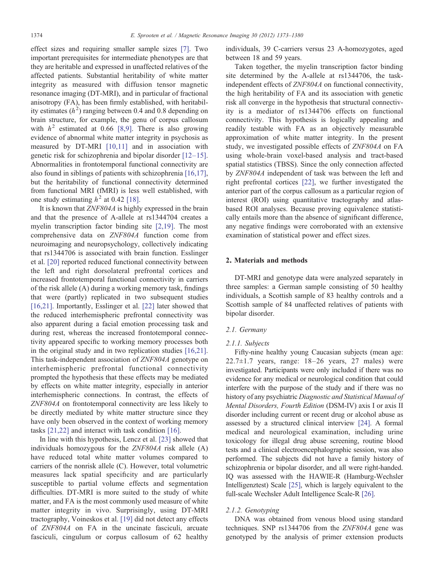effect sizes and requiring smaller sample sizes [\[7\].](#page-7-0) Two important prerequisites for intermediate phenotypes are that they are heritable and expressed in unaffected relatives of the affected patients. Substantial heritability of white matter integrity as measured with diffusion tensor magnetic resonance imaging (DT-MRI), and in particular of fractional anisotropy (FA), has been firmly established, with heritability estimates  $(h^2)$  ranging between 0.4 and 0.8 depending on brain structure, for example, the genu of corpus callosum with  $h^2$  estimated at 0.66 [\[8,9\].](#page-7-0) There is also growing evidence of abnormal white matter integrity in psychosis as measured by DT-MRI [\[10,11\]](#page-7-0) and in association with genetic risk for schizophrenia and bipolar disorder [12–[15\]](#page-7-0). Abnormalities in frontotemporal functional connectivity are also found in siblings of patients with schizophrenia [\[16,17\]](#page-7-0), but the heritability of functional connectivity determined from functional MRI (fMRI) is less well established, with one study estimating  $h^2$  at 0.42 [\[18\]](#page-7-0).

It is known that ZNF804A is highly expressed in the brain and that the presence of A-allele at rs1344704 creates a myelin transcription factor binding site [\[2,19\].](#page-7-0) The most comprehensive data on ZNF804A function come from neuroimaging and neuropsychology, collectively indicating that rs1344706 is associated with brain function. Esslinger et al. [\[20\]](#page-7-0) reported reduced functional connectivity between the left and right dorsolateral prefrontal cortices and increased frontotemporal functional connectivity in carriers of the risk allele (A) during a working memory task, findings that were (partly) replicated in two subsequent studies [\[16,21\]](#page-7-0). Importantly, Esslinger et al. [\[22\]](#page-7-0) later showed that the reduced interhemispheric prefrontal connectivity was also apparent during a facial emotion processing task and during rest, whereas the increased frontotemporal connectivity appeared specific to working memory processes both in the original study and in two replication studies [\[16,21\]](#page-7-0). This task-independent association of ZNF804A genotype on interhemispheric prefrontal functional connectivity prompted the hypothesis that these effects may be mediated by effects on white matter integrity, especially in anterior interhemispheric connections. In contrast, the effects of ZNF804A on frontotemporal connectivity are less likely to be directly mediated by white matter structure since they have only been observed in the context of working memory tasks [\[21,22\]](#page-7-0) and interact with task condition [\[16\]](#page-7-0).

In line with this hypothesis, Lencz et al. [\[23\]](#page-7-0) showed that individuals homozygous for the ZNF804A risk allele (A) have reduced total white matter volumes compared to carriers of the nonrisk allele (C). However, total volumetric measures lack spatial specificity and are particularly susceptible to partial volume effects and segmentation difficulties. DT-MRI is more suited to the study of white matter, and FA is the most commonly used measure of white matter integrity in vivo. Surprisingly, using DT-MRI tractography, Voineskos et al. [\[19\]](#page-7-0) did not detect any effects of ZNF804A on FA in the uncinate fasciculi, arcuate fasciculi, cingulum or corpus callosum of 62 healthy individuals, 39 C-carriers versus 23 A-homozygotes, aged between 18 and 59 years.

Taken together, the myelin transcription factor binding site determined by the A-allele at rs1344706, the taskindependent effects of ZNF804A on functional connectivity, the high heritability of FA and its association with genetic risk all converge in the hypothesis that structural connectivity is a mediator of rs1344706 effects on functional connectivity. This hypothesis is logically appealing and readily testable with FA as an objectively measurable approximation of white matter integrity. In the present study, we investigated possible effects of ZNF804A on FA using whole-brain voxel-based analysis and tract-based spatial statistics (TBSS). Since the only connection affected by ZNF804A independent of task was between the left and right prefrontal cortices [\[22\]](#page-7-0), we further investigated the anterior part of the corpus callosum as a particular region of interest (ROI) using quantitative tractography and atlasbased ROI analyses. Because proving equivalence statistically entails more than the absence of significant difference, any negative findings were corroborated with an extensive examination of statistical power and effect sizes.

#### 2. Materials and methods

DT-MRI and genotype data were analyzed separately in three samples: a German sample consisting of 50 healthy individuals, a Scottish sample of 83 healthy controls and a Scottish sample of 84 unaffected relatives of patients with bipolar disorder.

#### 2.1. Germany

#### 2.1.1. Subjects

Fifty-nine healthy young Caucasian subjects (mean age:  $22.7\pm1.7$  years, range:  $18-26$  years,  $27$  males) were investigated. Participants were only included if there was no evidence for any medical or neurological condition that could interfere with the purpose of the study and if there was no history of any psychiatric Diagnostic and Statistical Manual of Mental Disorders, Fourth Edition (DSM-IV) axis I or axis II disorder including current or recent drug or alcohol abuse as assessed by a structured clinical interview [\[24\].](#page-8-0) A formal medical and neurological examination, including urine toxicology for illegal drug abuse screening, routine blood tests and a clinical electroencephalographic session, was also performed. The subjects did not have a family history of schizophrenia or bipolar disorder, and all were right-handed. IQ was assessed with the HAWIE-R (Hamburg-Wechsler Intelligenztest) Scale [\[25\]](#page-8-0), which is largely equivalent to the full-scale Wechsler Adult Intelligence Scale-R [\[26\].](#page-8-0)

#### 2.1.2. Genotyping

DNA was obtained from venous blood using standard techniques. SNP rs1344706 from the ZNF804A gene was genotyped by the analysis of primer extension products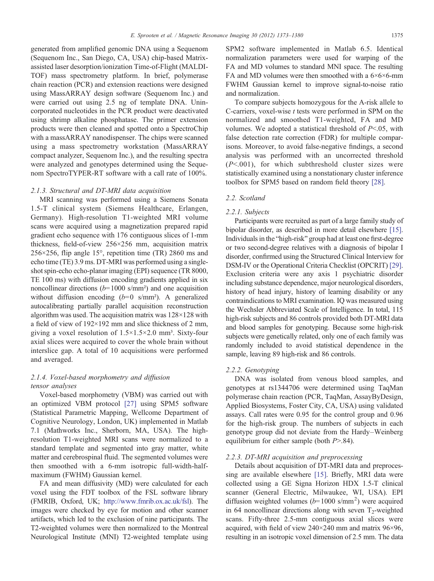generated from amplified genomic DNA using a Sequenom (Sequenom Inc., San Diego, CA, USA) chip-based Matrixassisted laser desorption/ionization Time-of-Flight (MALDI-TOF) mass spectrometry platform. In brief, polymerase chain reaction (PCR) and extension reactions were designed using MassARRAY design software (Sequenom Inc.) and were carried out using 2.5 ng of template DNA. Unincorporated nucleotides in the PCR product were deactivated using shrimp alkaline phosphatase. The primer extension products were then cleaned and spotted onto a SpectroChip with a massARRAY nanodispenser. The chips were scanned using a mass spectrometry workstation (MassARRAY compact analyzer, Sequenom Inc.), and the resulting spectra were analyzed and genotypes determined using the Sequenom SpectroTYPER-RT software with a call rate of 100%.

#### 2.1.3. Structural and DT-MRI data acquisition

MRI scanning was performed using a Siemens Sonata 1.5-T clinical system (Siemens Healthcare, Erlangen, Germany). High-resolution T1-weighted MRI volume scans were acquired using a magnetization prepared rapid gradient echo sequence with 176 contiguous slices of 1-mm thickness, field-of-view 256×256 mm, acquisition matrix 256×256, flip angle 15°, repetition time (TR) 2860 ms and echo time (TE) 3.9 ms. DT-MRI was performed using a singleshot spin-echo echo-planar imaging (EPI) sequence (TR 8000, TE 100 ms) with diffusion encoding gradients applied in six noncollinear directions  $(b=1000 \text{ s/mm}^2)$  and one acquisition without diffusion encoding  $(b=0 \text{ s/mm}^2)$ . A generalized autocalibrating partially parallel acquisition reconstruction algorithm was used. The acquisition matrix was 128×128 with a field of view of 192×192 mm and slice thickness of 2 mm, giving a voxel resolution of  $1.5 \times 1.5 \times 2.0$  mm<sup>3</sup>. Sixty-four axial slices were acquired to cover the whole brain without interslice gap. A total of 10 acquisitions were performed and averaged.

#### 2.1.4. Voxel-based morphometry and diffusion tensor analyses

Voxel-based morphometry (VBM) was carried out with an optimized VBM protocol [\[27\]](#page-8-0) using SPM5 software (Statistical Parametric Mapping, Wellcome Department of Cognitive Neurology, London, UK) implemented in Matlab 7.1 (Mathworks Inc., Sherborn, MA, USA). The highresolution T1-weighted MRI scans were normalized to a standard template and segmented into gray matter, white matter and cerebrospinal fluid. The segmented volumes were then smoothed with a 6-mm isotropic full-width-halfmaximum (FWHM) Gaussian kernel.

FA and mean diffusivity (MD) were calculated for each voxel using the FDT toolbox of the FSL software library (FMRIB, Oxford, UK; [http://www.fmrib.ox.ac.uk/fsl\)](http://www.fmrib.ox.ac.uk/fsl). The images were checked by eye for motion and other scanner artifacts, which led to the exclusion of nine participants. The T2-weighted volumes were then normalized to the Montreal Neurological Institute (MNI) T2-weighted template using SPM2 software implemented in Matlab 6.5. Identical normalization parameters were used for warping of the FA and MD volumes to standard MNI space. The resulting FA and MD volumes were then smoothed with a  $6\times6\times6$ -mm FWHM Gaussian kernel to improve signal-to-noise ratio and normalization.

To compare subjects homozygous for the A-risk allele to C-carriers, voxel-wise  $t$  tests were performed in SPM on the normalized and smoothed T1-weighted, FA and MD volumes. We adopted a statistical threshold of  $P<.05$ , with false detection rate correction (FDR) for multiple comparisons. Moreover, to avoid false-negative findings, a second analysis was performed with an uncorrected threshold  $(P<.001)$ , for which subthreshold cluster sizes were statistically examined using a nonstationary cluster inference toolbox for SPM5 based on random field theory [\[28\]](#page-8-0).

#### 2.2. Scotland

#### 2.2.1. Subjects

Participants were recruited as part of a large family study of bipolar disorder, as described in more detail elsewhere [\[15\]](#page-7-0). Individuals in the "high-risk" group had at least one first-degree or two second-degree relatives with a diagnosis of bipolar I disorder, confirmed using the Structured Clinical Interview for DSM-IV or the Operational Criteria Checklist (OPCRIT) [\[29\]](#page-8-0). Exclusion criteria were any axis 1 psychiatric disorder including substance dependence, major neurological disorders, history of head injury, history of learning disability or any contraindications to MRI examination. IQ was measured using the Wechsler Abbreviated Scale of Intelligence. In total, 115 high-risk subjects and 86 controls provided both DT-MRI data and blood samples for genotyping. Because some high-risk subjects were genetically related, only one of each family was randomly included to avoid statistical dependence in the sample, leaving 89 high-risk and 86 controls.

#### 2.2.2. Genotyping

DNA was isolated from venous blood samples, and genotypes at rs1344706 were determined using TaqMan polymerase chain reaction (PCR, TaqMan, AssayByDesign, Applied Biosystems, Foster City, CA, USA) using validated assays. Call rates were 0.95 for the control group and 0.96 for the high-risk group. The numbers of subjects in each genotype group did not deviate from the Hardy–Weinberg equilibrium for either sample (both  $P > 84$ ).

#### 2.2.3. DT-MRI acquisition and preprocessing

Details about acquisition of DT-MRI data and preprocessing are available elsewhere [\[15\].](#page-7-0) Briefly, MRI data were collected using a GE Signa Horizon HDX 1.5-T clinical scanner (General Electric, Milwaukee, WI, USA). EPI diffusion weighted volumes  $(b=1000 \text{ s/mm}^2)$  were acquired in 64 noncollinear directions along with seven  $T_2$ -weighted scans. Fifty-three 2.5-mm contiguous axial slices were acquired, with field of view 240×240 mm and matrix 96×96, resulting in an isotropic voxel dimension of 2.5 mm. The data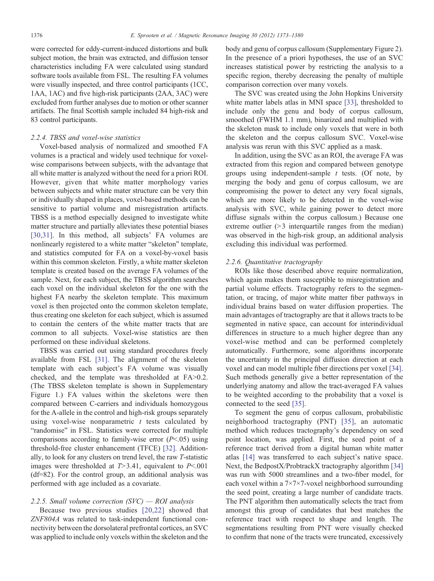were corrected for eddy-current-induced distortions and bulk subject motion, the brain was extracted, and diffusion tensor characteristics including FA were calculated using standard software tools available from FSL. The resulting FA volumes were visually inspected, and three control participants (1CC, 1AA, 1AC) and five high-risk participants (2AA, 3AC) were excluded from further analyses due to motion or other scanner artifacts. The final Scottish sample included 84 high-risk and 83 control participants.

#### 2.2.4. TBSS and voxel-wise statistics

Voxel-based analysis of normalized and smoothed FA volumes is a practical and widely used technique for voxelwise comparisons between subjects, with the advantage that all white matter is analyzed without the need for a priori ROI. However, given that white matter morphology varies between subjects and white mater structure can be very thin or individually shaped in places, voxel-based methods can be sensitive to partial volume and misregistration artifacts. TBSS is a method especially designed to investigate white matter structure and partially alleviates these potential biases [\[30,31\].](#page-8-0) In this method, all subjects' FA volumes are nonlinearly registered to a white matter "skeleton" template, and statistics computed for FA on a voxel-by-voxel basis within this common skeleton. Firstly, a white matter skeleton template is created based on the average FA volumes of the sample. Next, for each subject, the TBSS algorithm searches each voxel on the individual skeleton for the one with the highest FA nearby the skeleton template. This maximum voxel is then projected onto the common skeleton template, thus creating one skeleton for each subject, which is assumed to contain the centers of the white matter tracts that are common to all subjects. Voxel-wise statistics are then performed on these individual skeletons.

TBSS was carried out using standard procedures freely available from FSL [\[31\].](#page-8-0) The alignment of the skeleton template with each subject's FA volume was visually checked, and the template was thresholded at  $FA>0.2$ . (The TBSS skeleton template is shown in Supplementary Figure 1.) FA values within the skeletons were then compared between C-carriers and individuals homozygous for the A-allele in the control and high-risk groups separately using voxel-wise nonparametric  $t$  tests calculated by "randomise" in FSL. Statistics were corrected for multiple comparisons according to family-wise error  $(P<.05)$  using threshold-free cluster enhancement (TFCE) [\[32\]](#page-8-0). Additionally, to look for any clusters on trend level, the raw T-statistic images were thresholded at  $T > 3.41$ , equivalent to  $P < .001$ (df=82). For the control group, an additional analysis was performed with age included as a covariate.

#### 2.2.5. Small volume correction  $(SVC)$  — ROI analysis

Because two previous studies [\[20,22\]](#page-7-0) showed that ZNF804A was related to task-independent functional connectivity between the dorsolateral prefrontal cortices, an SVC was applied to include only voxels within the skeleton and the

body and genu of corpus callosum (Supplementary Figure 2). In the presence of a priori hypotheses, the use of an SVC increases statistical power by restricting the analysis to a specific region, thereby decreasing the penalty of multiple comparison correction over many voxels.

The SVC was created using the John Hopkins University white matter labels atlas in MNI space [\[33\],](#page-8-0) thresholded to include only the genu and body of corpus callosum, smoothed (FWHM 1.1 mm), binarized and multiplied with the skeleton mask to include only voxels that were in both the skeleton and the corpus callosum SVC. Voxel-wise analysis was rerun with this SVC applied as a mask.

In addition, using the SVC as an ROI, the average FA was extracted from this region and compared between genotype groups using independent-sample  $t$  tests. (Of note, by merging the body and genu of corpus callosum, we are compromising the power to detect any very focal signals, which are more likely to be detected in the voxel-wise analysis with SVC, while gaining power to detect more diffuse signals within the corpus callosum.) Because one extreme outlier  $(>3$  interquartile ranges from the median) was observed in the high-risk group, an additional analysis excluding this individual was performed.

#### 2.2.6. Quantitative tractography

ROIs like those described above require normalization, which again makes them susceptible to misregistration and partial volume effects. Tractography refers to the segmentation, or tracing, of major white matter fiber pathways in individual brains based on water diffusion properties. The main advantages of tractography are that it allows tracts to be segmented in native space, can account for interindividual differences in structure to a much higher degree than any voxel-wise method and can be performed completely automatically. Furthermore, some algorithms incorporate the uncertainty in the principal diffusion direction at each voxel and can model multiple fiber directions per voxel [\[34\]](#page-8-0). Such methods generally give a better representation of the underlying anatomy and allow the tract-averaged FA values to be weighted according to the probability that a voxel is connected to the seed [\[35\]](#page-8-0).

To segment the genu of corpus callosum, probabilistic neighborhood tractography (PNT) [\[35\],](#page-8-0) an automatic method which reduces tractography's dependency on seed point location, was applied. First, the seed point of a reference tract derived from a digital human white matter atlas [\[14\]](#page-7-0) was transferred to each subject's native space. Next, the BedpostX/ProbtrackX tractography algorithm [\[34\]](#page-8-0) was run with 5000 streamlines and a two-fiber model, for each voxel within a 7×7×7-voxel neighborhood surrounding the seed point, creating a large number of candidate tracts. The PNT algorithm then automatically selects the tract from amongst this group of candidates that best matches the reference tract with respect to shape and length. The segmentations resulting from PNT were visually checked to confirm that none of the tracts were truncated, excessively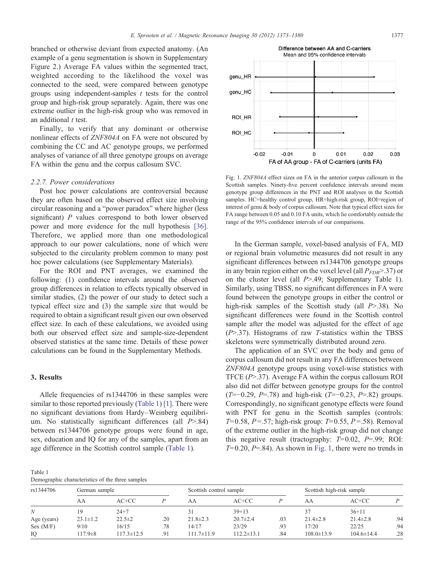<span id="page-5-0"></span>branched or otherwise deviant from expected anatomy. (An example of a genu segmentation is shown in Supplementary Figure 2.) Average FA values within the segmented tract, weighted according to the likelihood the voxel was connected to the seed, were compared between genotype groups using independent-samples  $t$  tests for the control group and high-risk group separately. Again, there was one extreme outlier in the high-risk group who was removed in an additional  $t$  test.

Finally, to verify that any dominant or otherwise nonlinear effects of ZNF804A on FA were not obscured by combining the CC and AC genotype groups, we performed analyses of variance of all three genotype groups on average FA within the genu and the corpus callosum SVC.

#### 2.2.7. Power considerations

Post hoc power calculations are controversial because they are often based on the observed effect size involving circular reasoning and a "power paradox" where higher (less significant)  $P$  values correspond to both lower observed power and more evidence for the null hypothesis [\[36\]](#page-8-0). Therefore, we applied more than one methodological approach to our power calculations, none of which were subjected to the circularity problem common to many post hoc power calculations (see Supplementary Materials).

For the ROI and PNT averages, we examined the following: (1) confidence intervals around the observed group differences in relation to effects typically observed in similar studies, (2) the power of our study to detect such a typical effect size and (3) the sample size that would be required to obtain a significant result given our own observed effect size. In each of these calculations, we avoided using both our observed effect size and sample-size-dependent observed statistics at the same time. Details of these power calculations can be found in the Supplementary Methods.

#### 3. Results

Allele frequencies of rs1344706 in these samples were similar to those reported previously (Table 1) [\[1\].](#page-7-0) There were no significant deviations from Hardy–Weinberg equilibrium. No statistically significant differences (all  $P > .84$ ) between rs1344706 genotype groups were found in age, sex, education and IQ for any of the samples, apart from an age difference in the Scottish control sample (Table 1).

Table 1 Demographic characteristics of the three samples



Fig. 1. ZNF804A effect sizes on FA in the anterior corpus callosum in the Scottish samples. Ninety-five percent confidence intervals around mean genotype group differences in the PNT and ROI analyses in the Scottish samples. HC=healthy control group, HR=high-risk group, ROI=region of interest of genu & body of corpus callosum. Note that typical effect sizes for FA range between 0.05 and 0.10 FA units, which lie comfortably outside the range of the 95% confidence intervals of our comparisons.

In the German sample, voxel-based analysis of FA, MD or regional brain volumetric measures did not result in any significant differences between rs1344706 genotype groups in any brain region either on the voxel level (all  $P_{FDR} > .37$ ) or on the cluster level (all  $P > 0.49$ ; Supplementary Table 1). Similarly, using TBSS, no significant differences in FA were found between the genotype groups in either the control or high-risk samples of the Scottish study (all  $P > 0.38$ ). No significant differences were found in the Scottish control sample after the model was adjusted for the effect of age  $(P>37)$ . Histograms of raw T-statistics within the TBSS skeletons were symmetrically distributed around zero.

The application of an SVC over the body and genu of corpus callosum did not result in any FA differences between ZNF804A genotype groups using voxel-wise statistics with TFCE  $(P>37)$ . Average FA within the corpus callosum ROI also did not differ between genotype groups for the control  $(T=-0.29, P=.78)$  and high-risk  $(T=-0.23, P=.82)$  groups. Correspondingly, no significant genotype effects were found with PNT for genu in the Scottish samples (controls:  $T= 0.58$ ,  $P=.57$ ; high-risk group:  $T= 0.55$ ,  $P=.58$ ). Removal of the extreme outlier in the high-risk group did not change this negative result (tractography:  $T=0.02$ ,  $P=.99$ ; ROI:  $T= 0.20$ ,  $P=.84$ ). As shown in Fig. 1, there were no trends in

| rs1344706   | German sample  |              |     | Scottish control sample |                  |     | Scottish high-risk sample |                  |     |
|-------------|----------------|--------------|-----|-------------------------|------------------|-----|---------------------------|------------------|-----|
|             | AA             | $AC+CC$      |     | AA                      | $AC+CC$          |     | AA                        | $AC+CC$          |     |
| N           | 9              | $24 + 7$     |     |                         | $39+13$          |     |                           | $36 + 11$        |     |
| Age (years) | $23.1 \pm 1.2$ | $22.5 \pm 2$ | .20 | $21.8 \pm 2.3$          | $20.7 \pm 2.4$   | .03 | $21.4 \pm 2.8$            | $21.4 \pm 2.8$   | .94 |
| Sex (M/F)   | 9/10           | 16/15        | .78 | 14/17                   | 23/29            | .93 | 17/20                     | 22/25            | .94 |
| IO          | $117.9 \pm 8$  | 117.3±12.5   | .91 | $111.7 \pm 11.9$        | $112.2 \pm 13.1$ | .84 | $108.0 \pm 13.9$          | $104.6 \pm 14.4$ | .28 |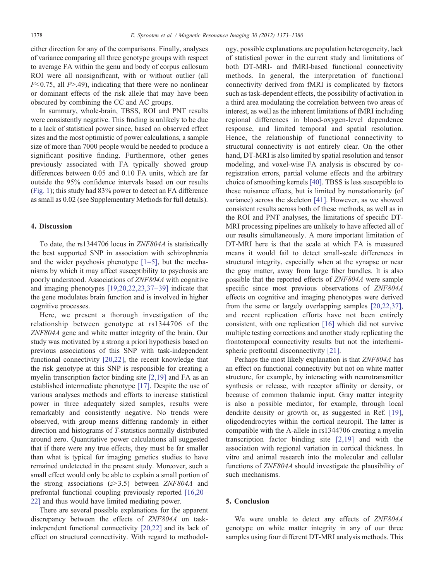either direction for any of the comparisons. Finally, analyses of variance comparing all three genotype groups with respect to average FA within the genu and body of corpus callosum ROI were all nonsignificant, with or without outlier (all  $F< 0.75$ , all P>.49), indicating that there were no nonlinear or dominant effects of the risk allele that may have been obscured by combining the CC and AC groups.

In summary, whole-brain, TBSS, ROI and PNT results were consistently negative. This finding is unlikely to be due to a lack of statistical power since, based on observed effect sizes and the most optimistic of power calculations, a sample size of more than 7000 people would be needed to produce a significant positive finding. Furthermore, other genes previously associated with FA typically showed group differences between 0.05 and 0.10 FA units, which are far outside the 95% confidence intervals based on our results ([Fig. 1](#page-5-0)); this study had 83% power to detect an FA difference as small as 0.02 (see Supplementary Methods for full details).

#### 4. Discussion

To date, the rs1344706 locus in ZNF804A is statistically the best supported SNP in association with schizophrenia and the wider psychosis phenotype  $[1-5]$  $[1-5]$ , but the mechanisms by which it may affect susceptibility to psychosis are poorly understood. Associations of ZNF804A with cognitive and imaging phenotypes [\[19,20,22,23,37](#page-7-0)–39] indicate that the gene modulates brain function and is involved in higher cognitive processes.

Here, we present a thorough investigation of the relationship between genotype at rs1344706 of the ZNF804A gene and white matter integrity of the brain. Our study was motivated by a strong a priori hypothesis based on previous associations of this SNP with task-independent functional connectivity [\[20,22\]](#page-7-0), the recent knowledge that the risk genotype at this SNP is responsible for creating a myelin transcription factor binding site [\[2,19\]](#page-7-0) and FA as an established intermediate phenotype [\[17\].](#page-7-0) Despite the use of various analyses methods and efforts to increase statistical power in three adequately sized samples, results were remarkably and consistently negative. No trends were observed, with group means differing randomly in either direction and histograms of T-statistics normally distributed around zero. Quantitative power calculations all suggested that if there were any true effects, they must be far smaller than what is typical for imaging genetics studies to have remained undetected in the present study. Moreover, such a small effect would only be able to explain a small portion of the strong associations  $(z>3.5)$  between ZNF804A and prefrontal functional coupling previously reported [\[16,20](#page-7-0)– [22\]](#page-7-0) and thus would have limited mediating power.

There are several possible explanations for the apparent discrepancy between the effects of ZNF804A on taskindependent functional connectivity [\[20,22\]](#page-7-0) and its lack of effect on structural connectivity. With regard to methodology, possible explanations are population heterogeneity, lack of statistical power in the current study and limitations of both DT-MRI- and fMRI-based functional connectivity methods. In general, the interpretation of functional connectivity derived from fMRI is complicated by factors such as task-dependent effects, the possibility of activation in a third area modulating the correlation between two areas of interest, as well as the inherent limitations of fMRI including regional differences in blood-oxygen-level dependence response, and limited temporal and spatial resolution. Hence, the relationship of functional connectivity to structural connectivity is not entirely clear. On the other hand, DT-MRI is also limited by spatial resolution and tensor modeling, and voxel-wise FA analysis is obscured by coregistration errors, partial volume effects and the arbitrary choice of smoothing kernels [\[40\].](#page-8-0) TBSS is less susceptible to these nuisance effects, but is limited by nonstationarity (of variance) across the skeleton [\[41\].](#page-8-0) However, as we showed consistent results across both of these methods, as well as in the ROI and PNT analyses, the limitations of specific DT-MRI processing pipelines are unlikely to have affected all of our results simultaneously. A more important limitation of DT-MRI here is that the scale at which FA is measured means it would fail to detect small-scale differences in structural integrity, especially when at the synapse or near the gray matter, away from large fiber bundles. It is also possible that the reported effects of ZNF804A were sample specific since most previous observations of ZNF804A effects on cognitive and imaging phenotypes were derived from the same or largely overlapping samples [\[20,22,37\]](#page-7-0), and recent replication efforts have not been entirely consistent, with one replication [\[16\]](#page-7-0) which did not survive multiple testing corrections and another study replicating the frontotemporal connectivity results but not the interhemispheric prefrontal disconnectivity [\[21\].](#page-7-0)

Perhaps the most likely explanation is that ZNF804A has an effect on functional connectivity but not on white matter structure, for example, by interacting with neurotransmitter synthesis or release, with receptor affinity or density, or because of common thalamic input. Gray matter integrity is also a possible mediator, for example, through local dendrite density or growth or, as suggested in Ref. [\[19\]](#page-7-0), oligodendrocytes within the cortical neuropil. The latter is compatible with the A-allele in rs1344706 creating a myelin transcription factor binding site [\[2,19\]](#page-7-0) and with the association with regional variation in cortical thickness. In vitro and animal research into the molecular and cellular functions of ZNF804A should investigate the plausibility of such mechanisms.

#### 5. Conclusion

We were unable to detect any effects of ZNF804A genotype on white matter integrity in any of our three samples using four different DT-MRI analysis methods. This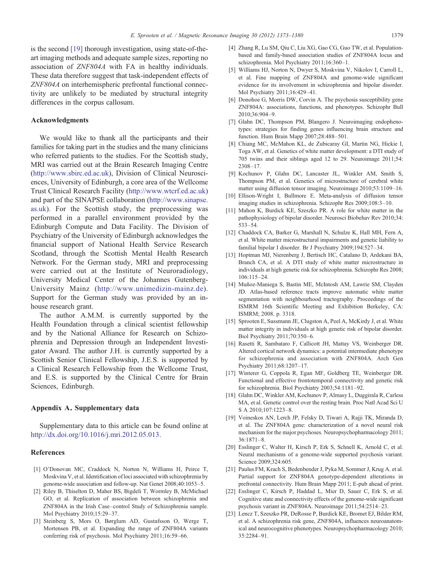<span id="page-7-0"></span>is the second [19] thorough investigation, using state-of-theart imaging methods and adequate sample sizes, reporting no association of ZNF804A with FA in healthy individuals. These data therefore suggest that task-independent effects of ZNF804A on interhemispheric prefrontal functional connectivity are unlikely to be mediated by structural integrity differences in the corpus callosum.

#### Acknowledgments

We would like to thank all the participants and their families for taking part in the studies and the many clinicians who referred patients to the studies. For the Scottish study, MRI was carried out at the Brain Research Imaging Centre ([http://www.sbirc.ed.ac.uk\)](http://www.sbirc.ed.ac.uk), Division of Clinical Neurosciences, University of Edinburgh, a core area of the Wellcome Trust Clinical Research Facility (<http://www.wtcrf.ed.ac.uk>) and part of the SINAPSE collaboration [\(http://www.sinapse.](http://www.sinapse.as.uk) [as.uk\)](http://www.sinapse.as.uk). For the Scottish study, the preprocessing was performed in a parallel environment provided by the Edinburgh Compute and Data Facility. The Division of Psychiatry of the University of Edinburgh acknowledges the financial support of National Health Service Research Scotland, through the Scottish Mental Health Research Network. For the German study, MRI and preprocessing were carried out at the Institute of Neuroradiology, University Medical Center of the Johannes Gutenberg-University Mainz (<http://www.unimedizin-mainz.de>). Support for the German study was provided by an inhouse research grant.

The author A.M.M. is currently supported by the Health Foundation through a clinical scientist fellowship and by the National Alliance for Research on Schizophrenia and Depression through an Independent Investigator Award. The author J.H. is currently supported by a Scottish Senior Clinical Fellowship, J.E.S. is supported by a Clinical Research Fellowship from the Wellcome Trust, and E.S. is supported by the Clinical Centre for Brain Sciences, Edinburgh.

#### Appendix A. Supplementary data

Supplementary data to this article can be found online at http://dx.doi.org/10.1016/j.mri.2012.05.013.

#### References

- [1] O'Donovan MC, Craddock N, Norton N, Williams H, Peirce T, Moskvina V, et al. Identification of loci associated with schizophrenia by genome-wide association and follow-up. Nat Genet 2008;40:1053–5.
- [2] Riley B, Thiselton D, Maher BS, Bigdeli T, Wormley B, McMichael GO, et al. Replication of association between schizophrenia and ZNF804A in the Irish Case–control Study of Schizophrenia sample. Mol Psychiatry 2010;15:29–37.
- [3] Steinberg S, Mors O, Børglum AD, Gustafsson O, Werge T, Mortensen PB, et al. Expanding the range of ZNF804A variants conferring risk of psychosis. Mol Psychiatry 2011;16:59–66.
- [4] Zhang R, Lu SM, Qiu C, Liu XG, Gao CG, Guo TW, et al. Populationbased and family-based association studies of ZNF804A locus and schizophrenia. Mol Psychiatry 2011;16:360–1.
- [5] Williams HJ, Norton N, Dwyer S, Moskvina V, Nikolov I, Carroll L, et al. Fine mapping of ZNF804A and genome-wide significant evidence for its involvement in schizophrenia and bipolar disorder. Mol Psychiatry 2011;16:429–41.
- [6] Donohoe G, Morris DW, Corvin A. The psychosis susceptibility gene ZNF804A: associations, functions, and phenotypes. Schizophr Bull 2010;36:904–9.
- [7] Glahn DC, Thompson PM, Blangero J. Neuroimaging endophenotypes: strategies for finding genes influencing brain structure and function. Hum Brain Mapp 2007;28:488–501.
- [8] Chiang MC, McMahon KL, de Zubicaray GI, Martin NG, Hickie I, Toga AW, et al. Genetics of white matter development: a DTI study of 705 twins and their siblings aged 12 to 29. Neuroimage 2011;54: 2308–17.
- [9] Kochunov P, Glahn DC, Lancaster JL, Winkler AM, Smith S, Thompson PM, et al. Genetics of microstructure of cerebral white matter using diffusion tensor imaging. Neuroimage 2010;53:1109–16.
- [10] Ellison-Wright I, Bullmore E. Meta-analysis of diffusion tensor imaging studies in schizophrenia. Schizophr Res 2009;108:3–10.
- [11] Mahon K, Burdick KE, Szeszko PR. A role for white matter in the pathophysiology of bipolar disorder. Neurosci Biobehav Rev 2010;34: 533–54.
- [12] Chaddock CA, Barker G, Marshall N, Schulze K, Hall MH, Fern A, et al. White matter microstructural impairments and genetic liability to familial bipolar I disorder. Br J Psychiatry 2009;194:527–34.
- [13] Hoptman MJ, Nierenberg J, Bertisch HC, Catalano D, Ardekani BA, Branch CA, et al. A DTI study of white matter microstructure in individuals at high genetic risk for schizophrenia. Schizophr Res 2008; 106:115–24.
- [14] Muñoz-Maniega S, Bastin ME, McIntosh AM, Lawrie SM, Clayden JD. Atlas-based reference tracts improve automatic white matter segmentation with neighbourhood tractography. Proceedings of the ISMRM 16th Scientific Meeting and Exhibition Berkeley, CA: ISMRM; 2008. p. 3318.
- [15] Sprooten E, Sussmann JE, Clugston A, Peel A, McKirdy J, et al. White matter integrity in individuals at high genetic risk of bipolar disorder. Biol Psychiatry 2011;70:350–6.
- [16] Rasetti R, Sambataro F, Callicott JH, Mattay VS, Weinberger DR. Altered cortical network dynamics: a potential intermediate phenotype for schizophrenia and association with ZNF804A. Arch Gen Psychiatry 2011;68:1207–17.
- [17] Winterer G, Coppola R, Egan MF, Goldberg TE, Weinberger DR. Functional and effective frontotemporal connectivity and genetic risk for schizophrenia. Biol Psychiatry 2003;54:1181–92.
- [18] Glahn DC, Winkler AM, Kochunov P, Almasy L, Duggirala R, Carless MA, et al. Genetic control over the resting brain. Proc Natl Acad Sci U S A 2010;107:1223–8.
- [19] Voineskos AN, Lerch JP, Felsky D, Tiwari A, Rajji TK, Miranda D, et al. The ZNF804A gene: characterization of a novel neural risk mechanism for the major psychoses. Neuropsychopharmacology 2011; 36:1871–8.
- [20] Esslinger C, Walter H, Kirsch P, Erk S, Schnell K, Arnold C, et al. Neural mechanisms of a genome-wide supported psychosis variant. Science 2009;324:605.
- [21] Paulus FM, Krach S, Bedenbender J, Pyka M, Sommer J, Krug A. et al. Partial support for ZNF804A genotype-dependent alterations in prefrontal connectivity. Hum Brain Mapp 2011; E-pub ahead of print.
- [22] Esslinger C, Kirsch P, Haddad L, Mier D, Sauer C, Erk S, et al. Cognitive state and connectivity effects of the genome-wide significant psychosis variant in ZNF804A. Neuroimage 2011;54:2514–23.
- [23] Lencz T, Szeszko PR, DeRosse P, Burdick KE, Bromet EJ, Bilder RM, et al. A schizophrenia risk gene, ZNF804A, influences neuroanatomical and neurocognitive phenotypes. Neuropsychopharmacology 2010; 35:2284–91.